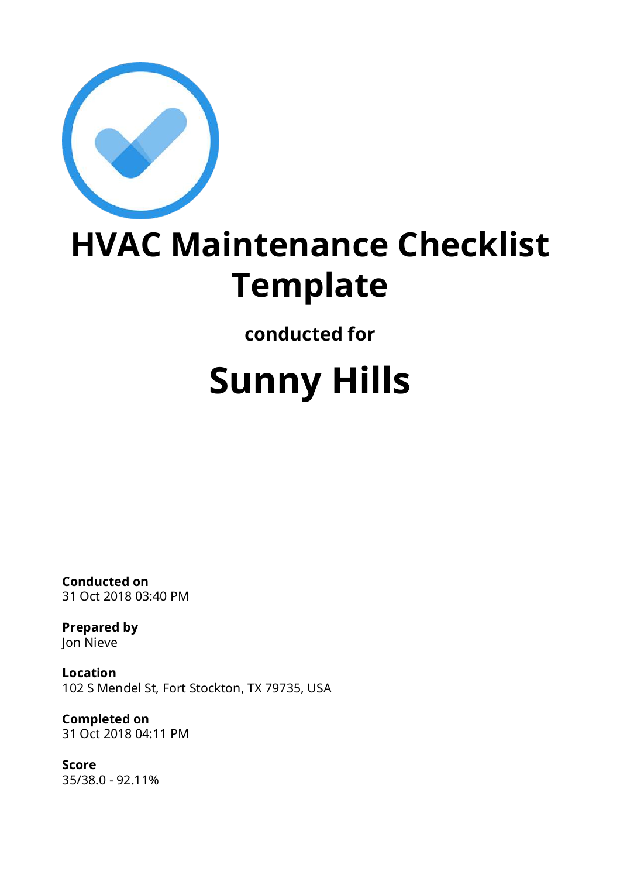

## **Template**

**conducted for**

## **Sunny Hills**

**Conducted on** 31 Oct 2018 03:40 PM

**Prepared by** Jon Nieve

**Location** 102 S Mendel St, Fort Stockton, TX 79735, USA

**Completed on** 31 Oct 2018 04:11 PM

**Score** 35/38.0 - 92.11%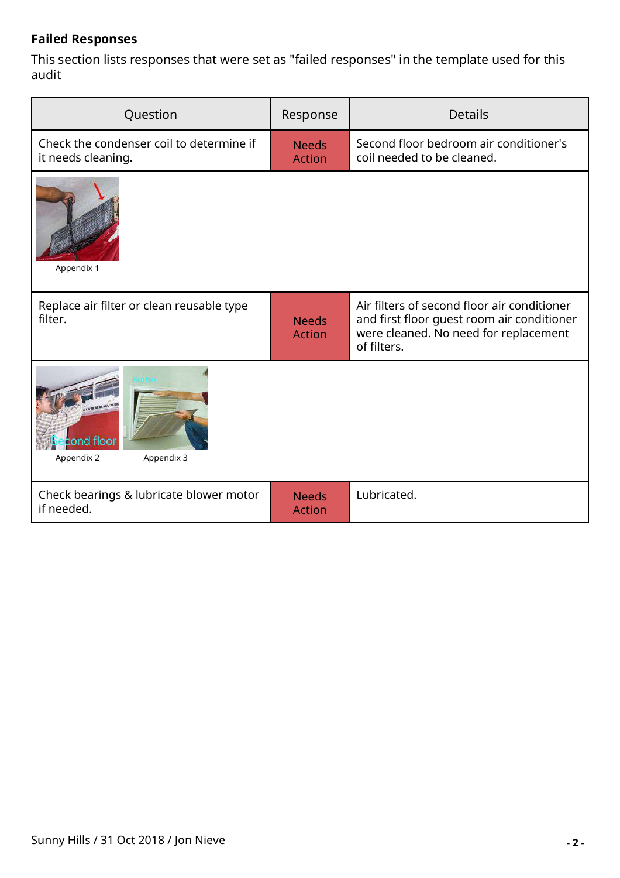## **Failed Responses**

This section lists responses that were set as "failed responses" in the template used for this audit

| Question                                                       | Response                      | <b>Details</b>                                                                                                                                    |  |
|----------------------------------------------------------------|-------------------------------|---------------------------------------------------------------------------------------------------------------------------------------------------|--|
| Check the condenser coil to determine if<br>it needs cleaning. | <b>Needs</b><br><b>Action</b> | Second floor bedroom air conditioner's<br>coil needed to be cleaned.                                                                              |  |
| Appendix 1                                                     |                               |                                                                                                                                                   |  |
| Replace air filter or clean reusable type<br>filter.           | <b>Needs</b><br><b>Action</b> | Air filters of second floor air conditioner<br>and first floor guest room air conditioner<br>were cleaned. No need for replacement<br>of filters. |  |
| cond floor<br>Appendix 2<br>Appendix 3                         |                               |                                                                                                                                                   |  |
| Check bearings & lubricate blower motor<br>if needed.          | <b>Needs</b><br><b>Action</b> | Lubricated.                                                                                                                                       |  |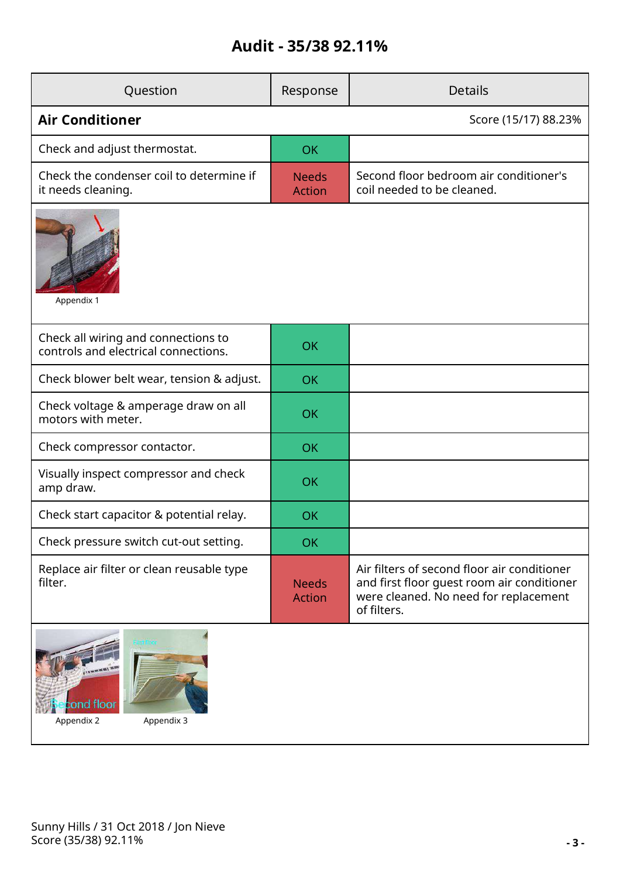## **Audit - 35/38 92.11%**

| Question                                                                    | Response                      | <b>Details</b>                                                                                                                                    |  |  |
|-----------------------------------------------------------------------------|-------------------------------|---------------------------------------------------------------------------------------------------------------------------------------------------|--|--|
| <b>Air Conditioner</b>                                                      |                               | Score (15/17) 88.23%                                                                                                                              |  |  |
| Check and adjust thermostat.                                                | <b>OK</b>                     |                                                                                                                                                   |  |  |
| Check the condenser coil to determine if<br>it needs cleaning.              | <b>Needs</b><br><b>Action</b> | Second floor bedroom air conditioner's<br>coil needed to be cleaned.                                                                              |  |  |
| Appendix 1                                                                  |                               |                                                                                                                                                   |  |  |
| Check all wiring and connections to<br>controls and electrical connections. | <b>OK</b>                     |                                                                                                                                                   |  |  |
| Check blower belt wear, tension & adjust.                                   | <b>OK</b>                     |                                                                                                                                                   |  |  |
| Check voltage & amperage draw on all<br>motors with meter.                  | <b>OK</b>                     |                                                                                                                                                   |  |  |
| Check compressor contactor.                                                 | <b>OK</b>                     |                                                                                                                                                   |  |  |
| Visually inspect compressor and check<br>amp draw.                          | <b>OK</b>                     |                                                                                                                                                   |  |  |
| Check start capacitor & potential relay.                                    | OK                            |                                                                                                                                                   |  |  |
| Check pressure switch cut-out setting.                                      | <b>OK</b>                     |                                                                                                                                                   |  |  |
| Replace air filter or clean reusable type<br>filter.                        | <b>Needs</b><br><b>Action</b> | Air filters of second floor air conditioner<br>and first floor quest room air conditioner<br>were cleaned. No need for replacement<br>of filters. |  |  |
|                                                                             |                               |                                                                                                                                                   |  |  |

Appendix 2 Appendix 3

ă

cond floor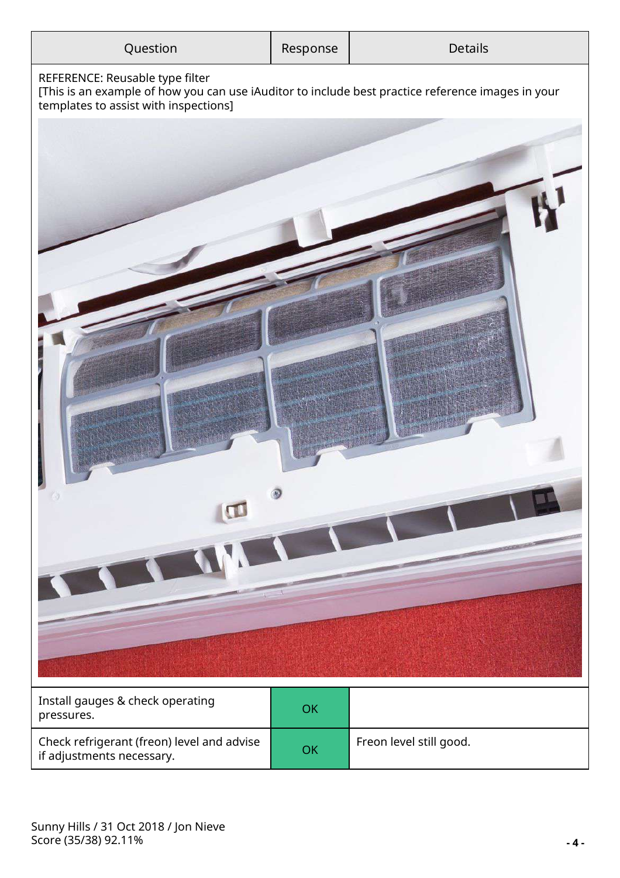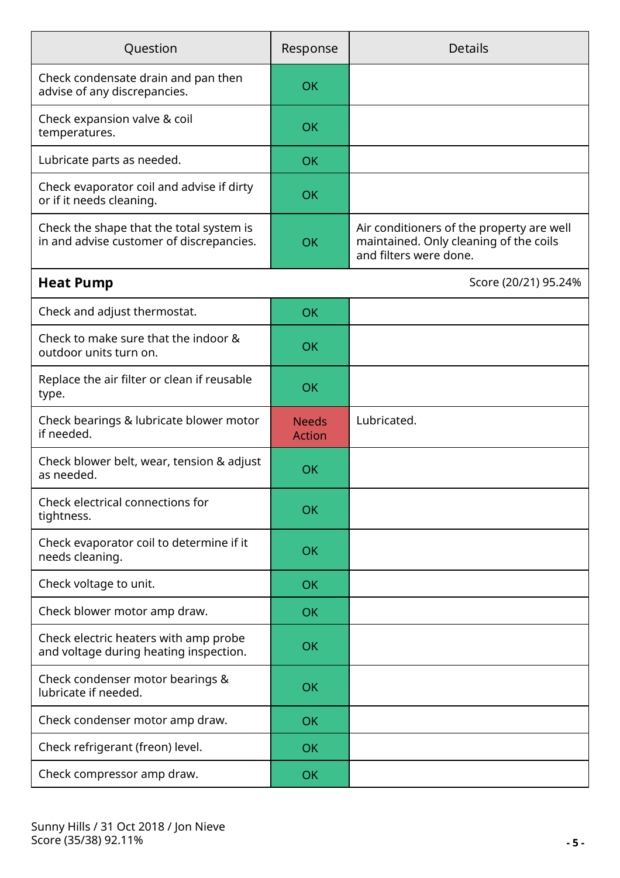| Question                                                                             | Response                      | <b>Details</b>                                                                                                |  |  |
|--------------------------------------------------------------------------------------|-------------------------------|---------------------------------------------------------------------------------------------------------------|--|--|
| Check condensate drain and pan then<br>advise of any discrepancies.                  | <b>OK</b>                     |                                                                                                               |  |  |
| Check expansion valve & coil<br>temperatures.                                        | OK                            |                                                                                                               |  |  |
| Lubricate parts as needed.                                                           | <b>OK</b>                     |                                                                                                               |  |  |
| Check evaporator coil and advise if dirty<br>or if it needs cleaning.                | <b>OK</b>                     |                                                                                                               |  |  |
| Check the shape that the total system is<br>in and advise customer of discrepancies. | <b>OK</b>                     | Air conditioners of the property are well<br>maintained. Only cleaning of the coils<br>and filters were done. |  |  |
| <b>Heat Pump</b>                                                                     |                               | Score (20/21) 95.24%                                                                                          |  |  |
| Check and adjust thermostat.                                                         | <b>OK</b>                     |                                                                                                               |  |  |
| Check to make sure that the indoor &<br>outdoor units turn on.                       | OK                            |                                                                                                               |  |  |
| Replace the air filter or clean if reusable<br>type.                                 | <b>OK</b>                     |                                                                                                               |  |  |
| Check bearings & lubricate blower motor<br>if needed.                                | <b>Needs</b><br><b>Action</b> | Lubricated.                                                                                                   |  |  |
| Check blower belt, wear, tension & adjust<br>as needed.                              | <b>OK</b>                     |                                                                                                               |  |  |
| Check electrical connections for<br>tightness.                                       | <b>OK</b>                     |                                                                                                               |  |  |
| Check evaporator coil to determine if it<br>needs cleaning.                          | <b>OK</b>                     |                                                                                                               |  |  |
| Check voltage to unit.                                                               | <b>OK</b>                     |                                                                                                               |  |  |
| Check blower motor amp draw.                                                         | <b>OK</b>                     |                                                                                                               |  |  |
| Check electric heaters with amp probe<br>and voltage during heating inspection.      | <b>OK</b>                     |                                                                                                               |  |  |
| Check condenser motor bearings &<br>lubricate if needed.                             | <b>OK</b>                     |                                                                                                               |  |  |
| Check condenser motor amp draw.                                                      | <b>OK</b>                     |                                                                                                               |  |  |
| Check refrigerant (freon) level.                                                     | <b>OK</b>                     |                                                                                                               |  |  |
| Check compressor amp draw.                                                           | <b>OK</b>                     |                                                                                                               |  |  |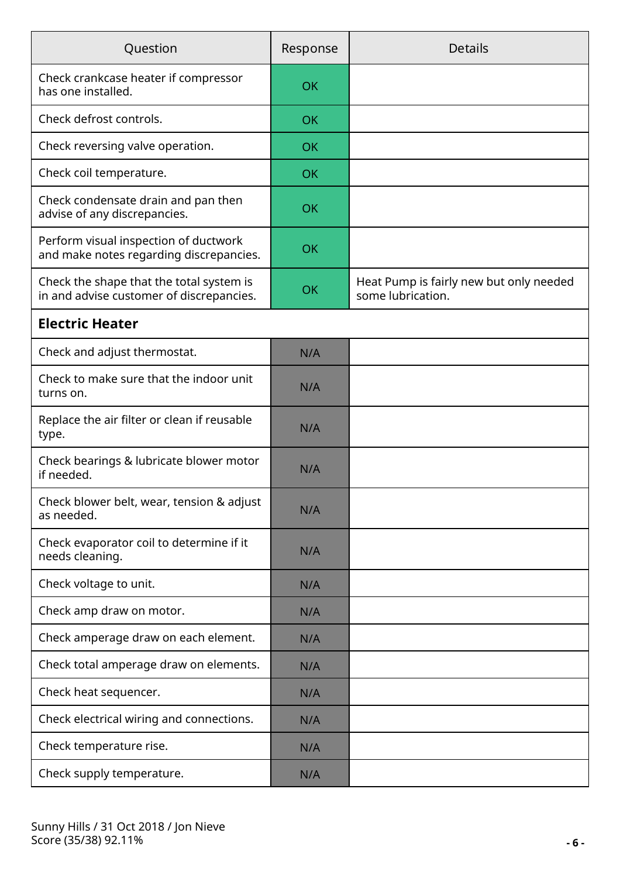| Question                                                                             | Response  | <b>Details</b>                                               |  |  |
|--------------------------------------------------------------------------------------|-----------|--------------------------------------------------------------|--|--|
| Check crankcase heater if compressor<br>has one installed.                           | OK        |                                                              |  |  |
| Check defrost controls.                                                              | <b>OK</b> |                                                              |  |  |
| Check reversing valve operation.                                                     | <b>OK</b> |                                                              |  |  |
| Check coil temperature.                                                              | <b>OK</b> |                                                              |  |  |
| Check condensate drain and pan then<br>advise of any discrepancies.                  | <b>OK</b> |                                                              |  |  |
| Perform visual inspection of ductwork<br>and make notes regarding discrepancies.     | <b>OK</b> |                                                              |  |  |
| Check the shape that the total system is<br>in and advise customer of discrepancies. | <b>OK</b> | Heat Pump is fairly new but only needed<br>some lubrication. |  |  |
| <b>Electric Heater</b>                                                               |           |                                                              |  |  |
| Check and adjust thermostat.                                                         | N/A       |                                                              |  |  |
| Check to make sure that the indoor unit<br>turns on.                                 | N/A       |                                                              |  |  |
| Replace the air filter or clean if reusable<br>type.                                 | N/A       |                                                              |  |  |
| Check bearings & lubricate blower motor<br>if needed.                                | N/A       |                                                              |  |  |
| Check blower belt, wear, tension & adjust<br>as needed.                              | N/A       |                                                              |  |  |
| Check evaporator coil to determine if it<br>needs cleaning.                          | N/A       |                                                              |  |  |
| Check voltage to unit.                                                               | N/A       |                                                              |  |  |
| Check amp draw on motor.                                                             | N/A       |                                                              |  |  |
| Check amperage draw on each element.                                                 | N/A       |                                                              |  |  |
| Check total amperage draw on elements.                                               | N/A       |                                                              |  |  |
| Check heat sequencer.                                                                | N/A       |                                                              |  |  |
| Check electrical wiring and connections.                                             | N/A       |                                                              |  |  |
| Check temperature rise.                                                              | N/A       |                                                              |  |  |
| Check supply temperature.                                                            | N/A       |                                                              |  |  |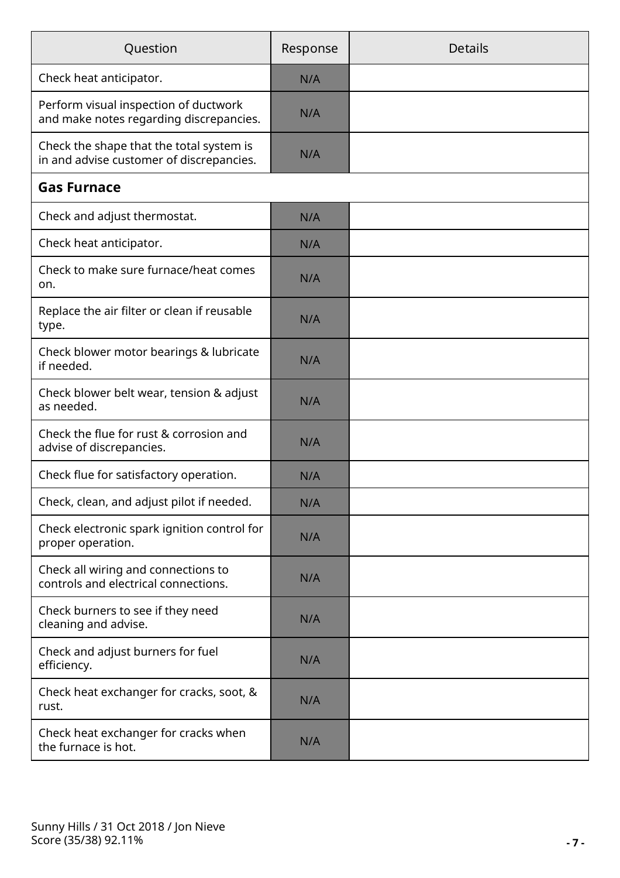| Question                                                                             | Response | <b>Details</b> |
|--------------------------------------------------------------------------------------|----------|----------------|
| Check heat anticipator.                                                              | N/A      |                |
| Perform visual inspection of ductwork<br>and make notes regarding discrepancies.     | N/A      |                |
| Check the shape that the total system is<br>in and advise customer of discrepancies. | N/A      |                |
| <b>Gas Furnace</b>                                                                   |          |                |
| Check and adjust thermostat.                                                         | N/A      |                |
| Check heat anticipator.                                                              | N/A      |                |
| Check to make sure furnace/heat comes<br>on.                                         | N/A      |                |
| Replace the air filter or clean if reusable<br>type.                                 | N/A      |                |
| Check blower motor bearings & lubricate<br>if needed.                                | N/A      |                |
| Check blower belt wear, tension & adjust<br>as needed.                               | N/A      |                |
| Check the flue for rust & corrosion and<br>advise of discrepancies.                  | N/A      |                |
| Check flue for satisfactory operation.                                               | N/A      |                |
| Check, clean, and adjust pilot if needed.                                            | N/A      |                |
| Check electronic spark ignition control for<br>proper operation.                     | N/A      |                |
| Check all wiring and connections to<br>controls and electrical connections.          | N/A      |                |
| Check burners to see if they need<br>cleaning and advise.                            | N/A      |                |
| Check and adjust burners for fuel<br>efficiency.                                     | N/A      |                |
| Check heat exchanger for cracks, soot, &<br>rust.                                    | N/A      |                |
| Check heat exchanger for cracks when<br>the furnace is hot.                          | N/A      |                |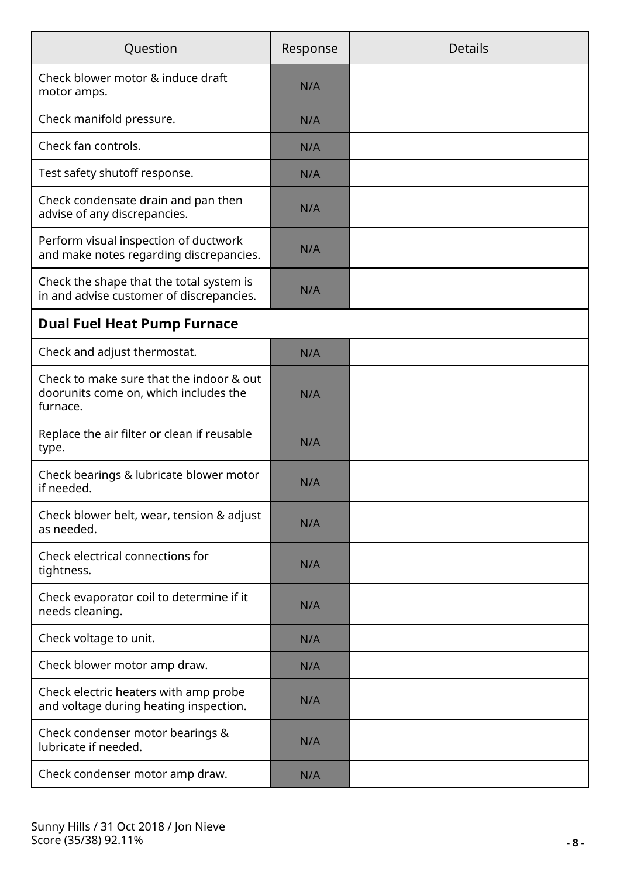| Question                                                                                      | Response | <b>Details</b> |
|-----------------------------------------------------------------------------------------------|----------|----------------|
| Check blower motor & induce draft<br>motor amps.                                              | N/A      |                |
| Check manifold pressure.                                                                      | N/A      |                |
| Check fan controls.                                                                           | N/A      |                |
| Test safety shutoff response.                                                                 | N/A      |                |
| Check condensate drain and pan then<br>advise of any discrepancies.                           | N/A      |                |
| Perform visual inspection of ductwork<br>and make notes regarding discrepancies.              | N/A      |                |
| Check the shape that the total system is<br>in and advise customer of discrepancies.          | N/A      |                |
| <b>Dual Fuel Heat Pump Furnace</b>                                                            |          |                |
| Check and adjust thermostat.                                                                  | N/A      |                |
| Check to make sure that the indoor & out<br>doorunits come on, which includes the<br>furnace. | N/A      |                |
| Replace the air filter or clean if reusable<br>type.                                          | N/A      |                |
| Check bearings & lubricate blower motor<br>if needed.                                         | N/A      |                |
| Check blower belt, wear, tension & adjust<br>as needed.                                       | N/A      |                |
| Check electrical connections for<br>tightness.                                                | N/A      |                |
| Check evaporator coil to determine if it<br>needs cleaning.                                   | N/A      |                |
| Check voltage to unit.                                                                        | N/A      |                |
| Check blower motor amp draw.                                                                  | N/A      |                |
| Check electric heaters with amp probe<br>and voltage during heating inspection.               | N/A      |                |
| Check condenser motor bearings &<br>lubricate if needed.                                      | N/A      |                |
| Check condenser motor amp draw.                                                               | N/A      |                |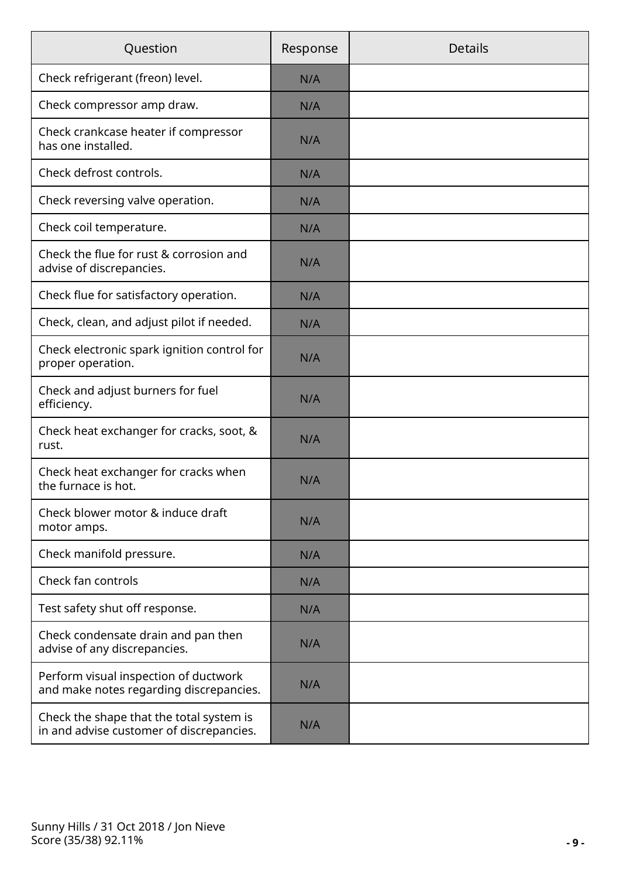| Question                                                                             | Response | <b>Details</b> |
|--------------------------------------------------------------------------------------|----------|----------------|
| Check refrigerant (freon) level.                                                     | N/A      |                |
| Check compressor amp draw.                                                           | N/A      |                |
| Check crankcase heater if compressor<br>has one installed.                           | N/A      |                |
| Check defrost controls.                                                              | N/A      |                |
| Check reversing valve operation.                                                     | N/A      |                |
| Check coil temperature.                                                              | N/A      |                |
| Check the flue for rust & corrosion and<br>advise of discrepancies.                  | N/A      |                |
| Check flue for satisfactory operation.                                               | N/A      |                |
| Check, clean, and adjust pilot if needed.                                            | N/A      |                |
| Check electronic spark ignition control for<br>proper operation.                     | N/A      |                |
| Check and adjust burners for fuel<br>efficiency.                                     | N/A      |                |
| Check heat exchanger for cracks, soot, &<br>rust.                                    | N/A      |                |
| Check heat exchanger for cracks when<br>the furnace is hot.                          | N/A      |                |
| Check blower motor & induce draft<br>motor amps.                                     | N/A      |                |
| Check manifold pressure.                                                             | N/A      |                |
| Check fan controls                                                                   | N/A      |                |
| Test safety shut off response.                                                       | N/A      |                |
| Check condensate drain and pan then<br>advise of any discrepancies.                  | N/A      |                |
| Perform visual inspection of ductwork<br>and make notes regarding discrepancies.     | N/A      |                |
| Check the shape that the total system is<br>in and advise customer of discrepancies. | N/A      |                |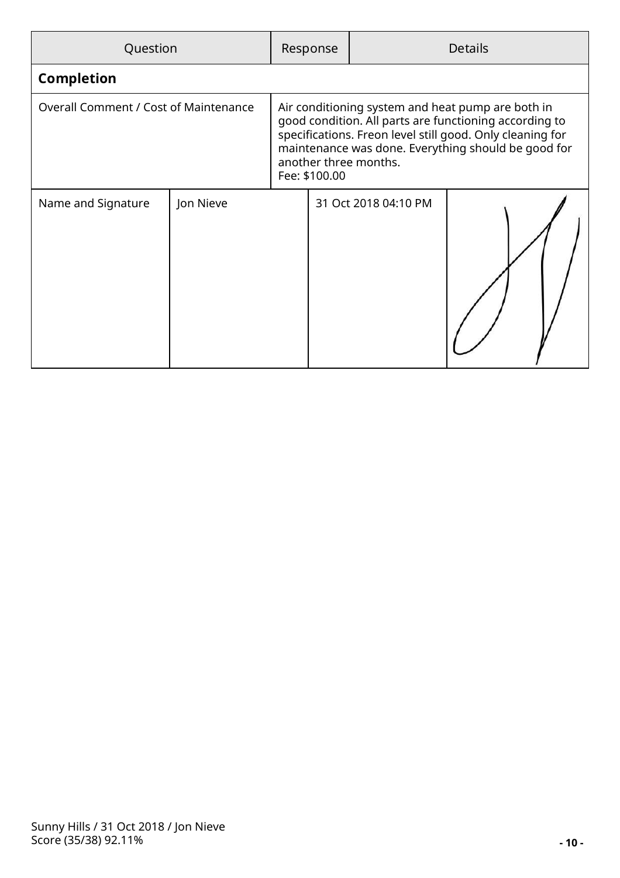| Question                                     |           |  | Response                                                                                                                                                                                                                                                                  |                      | <b>Details</b> |
|----------------------------------------------|-----------|--|---------------------------------------------------------------------------------------------------------------------------------------------------------------------------------------------------------------------------------------------------------------------------|----------------------|----------------|
| <b>Completion</b>                            |           |  |                                                                                                                                                                                                                                                                           |                      |                |
| <b>Overall Comment / Cost of Maintenance</b> |           |  | Air conditioning system and heat pump are both in<br>good condition. All parts are functioning according to<br>specifications. Freon level still good. Only cleaning for<br>maintenance was done. Everything should be good for<br>another three months.<br>Fee: \$100.00 |                      |                |
| Name and Signature                           | Jon Nieve |  |                                                                                                                                                                                                                                                                           | 31 Oct 2018 04:10 PM |                |